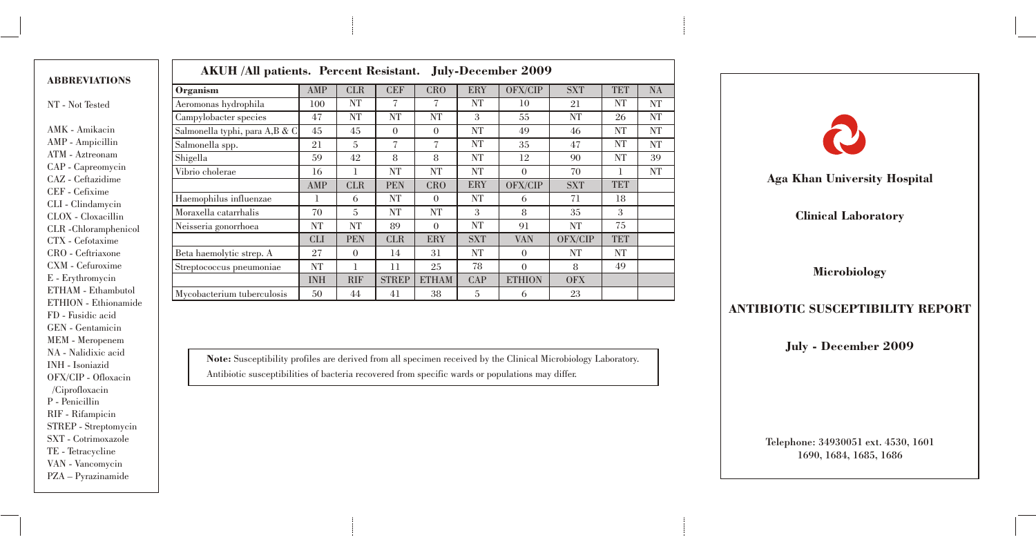|                                        | AKUH /All patients. Percent Resistant. July-December 2009                                                                                                                                                                                                                                                   |            |            |                |                |            |               |                                                                                                                                                                                                                                      |            |           |                                         |
|----------------------------------------|-------------------------------------------------------------------------------------------------------------------------------------------------------------------------------------------------------------------------------------------------------------------------------------------------------------|------------|------------|----------------|----------------|------------|---------------|--------------------------------------------------------------------------------------------------------------------------------------------------------------------------------------------------------------------------------------|------------|-----------|-----------------------------------------|
| <b>ABBREVIATIONS</b>                   | Organism                                                                                                                                                                                                                                                                                                    | AMP        | <b>CLR</b> | <b>CEF</b>     | <b>CRO</b>     | ERY        | OFX/CIP       | <b>SXT</b>                                                                                                                                                                                                                           | <b>TET</b> | <b>NA</b> |                                         |
| NT - Not Tested                        | Aeromonas hydrophila                                                                                                                                                                                                                                                                                        | 100        | NT         |                |                | NT         | 10            | 21                                                                                                                                                                                                                                   | <b>NT</b>  | NT        |                                         |
|                                        | Campylobacter species                                                                                                                                                                                                                                                                                       | 47         | NT         | <b>NT</b>      | <b>NT</b>      | 3          | 55            | <b>NT</b>                                                                                                                                                                                                                            | 26         | <b>NT</b> |                                         |
| AMK - Amikacin                         | Salmonella typhi, para A,B & C                                                                                                                                                                                                                                                                              | 45         | 45         | $\Omega$       | $\theta$       | <b>NT</b>  | 49            | 46                                                                                                                                                                                                                                   | NT         | <b>NT</b> |                                         |
| AMP - Ampicillin                       | Salmonella spp.                                                                                                                                                                                                                                                                                             | 21         | 5          | $\overline{ }$ | $\overline{ }$ | <b>NT</b>  | 35            | 47                                                                                                                                                                                                                                   | NT         | <b>NT</b> |                                         |
| ATM - Aztreonam                        | Shigella                                                                                                                                                                                                                                                                                                    | 59         | 42         | 8              | 8              | <b>NT</b>  | 12            | 90                                                                                                                                                                                                                                   | NT         | 39        |                                         |
| CAP - Capreomycin                      | Vibrio cholerae                                                                                                                                                                                                                                                                                             | 16         |            | NT             | NT             | <b>NT</b>  | $\Omega$      | 70                                                                                                                                                                                                                                   |            | NT        |                                         |
| CAZ - Ceftazidime                      |                                                                                                                                                                                                                                                                                                             | AMP        | <b>CLR</b> | <b>PEN</b>     | <b>CRO</b>     | ERY        | OFX/CIP       | <b>SXT</b>                                                                                                                                                                                                                           | <b>TET</b> |           | <b>Aga Khan University Hospital</b>     |
| CEF - Cefixime<br>CLI - Clindamycin    | Haemophilus influenzae                                                                                                                                                                                                                                                                                      |            | 6          | NT             | $\theta$       | <b>NT</b>  | 6             | 71                                                                                                                                                                                                                                   | 18         |           |                                         |
| CLOX - Cloxacillin                     | Moraxella catarrhalis                                                                                                                                                                                                                                                                                       | 70         | 5          | <b>NT</b>      | NT             | 3          | 8             | 35                                                                                                                                                                                                                                   | 3          |           | <b>Clinical Laboratory</b>              |
| CLR-Chloramphenicol                    | Neisseria gonorrhoea                                                                                                                                                                                                                                                                                        | NT         | NT         | 89             | $\theta$       | <b>NT</b>  | 91            | <b>NT</b>                                                                                                                                                                                                                            | 75         |           |                                         |
| CTX - Cefotaxime                       |                                                                                                                                                                                                                                                                                                             | <b>CLI</b> | <b>PEN</b> | <b>CLR</b>     | ERY            | <b>SXT</b> | <b>VAN</b>    | OFX/CIP                                                                                                                                                                                                                              | <b>TET</b> |           |                                         |
| CRO - Ceftriaxone                      | Beta haemolytic strep. A                                                                                                                                                                                                                                                                                    | 27         | $\Omega$   | 14             | 31             | <b>NT</b>  | $\Omega$      | NT                                                                                                                                                                                                                                   | NT         |           |                                         |
| CXM - Cefuroxime                       | Streptococcus pneumoniae                                                                                                                                                                                                                                                                                    | NT         |            |                | 25             | 78         | $\theta$      | 8                                                                                                                                                                                                                                    | 49         |           | <b>Microbiology</b>                     |
| E - Erythromycin                       |                                                                                                                                                                                                                                                                                                             | <b>INH</b> | <b>RIF</b> | <b>STREP</b>   | <b>ETHAM</b>   | CAP        | <b>ETHION</b> | <b>OFX</b>                                                                                                                                                                                                                           |            |           |                                         |
| ETHAM - Ethambutol                     | Mycobacterium tuberculosis                                                                                                                                                                                                                                                                                  | 50         | 44         | 41             | 38             | 5          | 6             | 23                                                                                                                                                                                                                                   |            |           |                                         |
| ETHION - Ethionamide                   |                                                                                                                                                                                                                                                                                                             |            |            |                |                |            |               |                                                                                                                                                                                                                                      |            |           | <b>ANTIBIOTIC SUSCEPTIBILITY REPORT</b> |
| FD - Fusidic acid                      |                                                                                                                                                                                                                                                                                                             |            |            |                |                |            |               |                                                                                                                                                                                                                                      |            |           |                                         |
| GEN - Gentamicin                       |                                                                                                                                                                                                                                                                                                             |            |            |                |                |            |               |                                                                                                                                                                                                                                      |            |           |                                         |
| MEM - Meropenem<br>NA - Nalidixic acid | $\mathbf{a}$ , $\mathbf{a}$ , $\mathbf{a}$ , $\mathbf{a}$ , $\mathbf{a}$ , $\mathbf{a}$ , $\mathbf{a}$ , $\mathbf{a}$ , $\mathbf{a}$ , $\mathbf{a}$ , $\mathbf{a}$ , $\mathbf{a}$ , $\mathbf{a}$ , $\mathbf{a}$ , $\mathbf{a}$ , $\mathbf{a}$ , $\mathbf{a}$ , $\mathbf{a}$ , $\mathbf{a}$ , $\mathbf{a}$ , |            |            |                |                |            |               | <u>is a comparable communication of the communication of the communication of the communication of the communication of the communication of the communication of the communication of the communication of the communication of</u> |            |           | July - December 2009                    |

Note: Susceptibility profiles are derived from all specimen received by the Clinical Microbiology Laboratory. Antibiotic susceptibilities of bacteria recovered from specific wards or populations may differ.

INH - Isoniazid OFX/CIP - Ofloxacin /Ciprofloxacin P - Penicillin RIF - Rifampicin STREP - Streptomycin SXT - Cotrimoxazole TE - Tetracycline VAN - Vancomycin PZA – Pyrazinamide

## July - December 2009 Telephone: 34930051 ext. 4530, 1601

1690, 1684, 1685, 1686